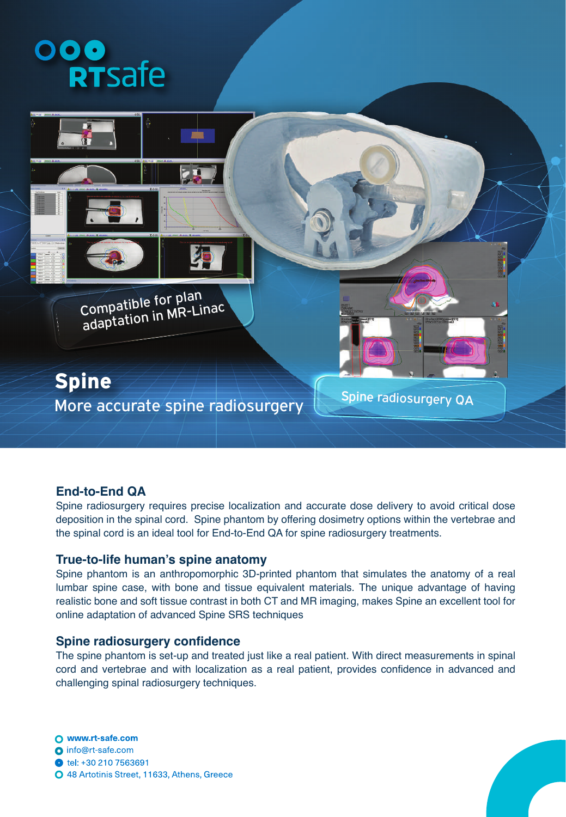



## **End-to-End QA**

Spine radiosurgery requires precise localization and accurate dose delivery to avoid critical dose deposition in the spinal cord. Spine phantom by offering dosimetry options within the vertebrae and the spinal cord is an ideal tool for End-to-End QA for spine radiosurgery treatments.

### **True-to-life human's spine anatomy**

Spine phantom is an anthropomorphic 3D-printed phantom that simulates the anatomy of a real lumbar spine case, with bone and tissue equivalent materials. The unique advantage of having realistic bone and soft tissue contrast in both CT and MR imaging, makes Spine an excellent tool for online adaptation of advanced Spine SRS techniques

### **Spine radiosurgery confidence**

The spine phantom is set-up and treated just like a real patient. With direct measurements in spinal cord and vertebrae and with localization as a real patient, provides confidence in advanced and challenging spinal radiosurgery techniques.

O www.rt-safe.com o info@rt-safe.com tel: +30 210 7563691 O 48 Artotinis Street, 11633, Athens, Greece